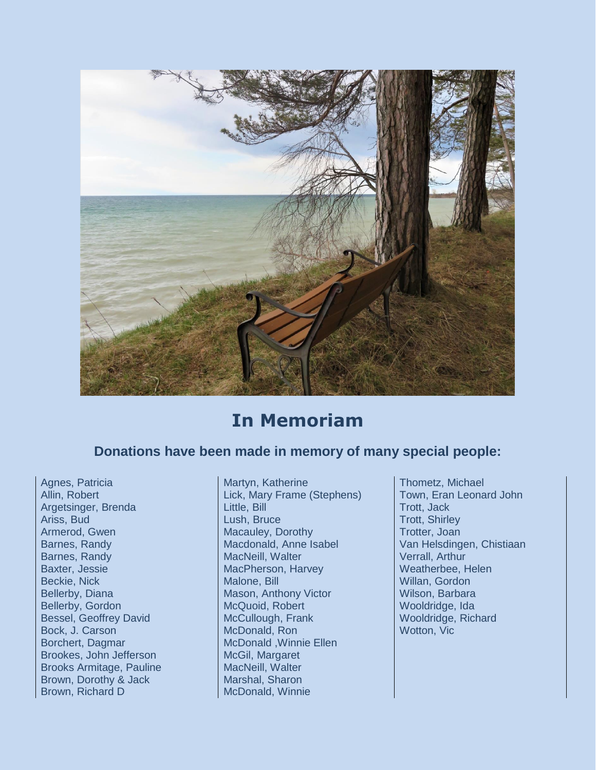

## **In Memoriam**

## **Donations have been made in memory of many special people:**

Baxter, Jessie MacPherson, Harvey Borchert, Dagmar McDonald ,Winnie Ellen Brookes, John Jefferson McGil, Margaret Brooks Armitage, Pauline MacNeill, Walter Brown, Dorothy & Jack Marshal, Sharon Brown, Richard D McDonald, Winnie

Agnes, Patricia Martyn, Katherine Martyn, Katherine Thometz, Michael Allin, Robert Lick, Mary Frame (Stephens) Town, Eran Leonard John Argetsinger, Brenda Little, Bill Little, Bill **Little, Bill** Trott, Jack Ariss, Bud **Lush, Bruce** Trott, Shirley Armerod, Gwen Macauley, Dorothy Trotter, Joan Barnes, Randy Macauley, Dorothy Trotter, Joan Barnes, Randy **Macdonald, Anne Isabel Machinan Randy Chistiaan**<br>Barnes, Randy MacNeill, Walter Verrall, Arthur Barnes, Randy **MacNeill, Walter MacNeill, Walter** Verrall, Arthur Verrall, Arthur (MacPherson, Harvey **Verrall, Arthur** Beckie, Nick Malone, Bill Malone, Bill Malone, Bill Millan, Gordon Bellerby, Diana Mason, Anthony Victor Wilson, Barbara Bellerby, Gordon McQuoid, Robert Wooldridge, Ida Bessel, Geoffrey David McCullough, Frank Wooldridge, Richard Bock, J. Carson McDonald, Ron Wotton, Vic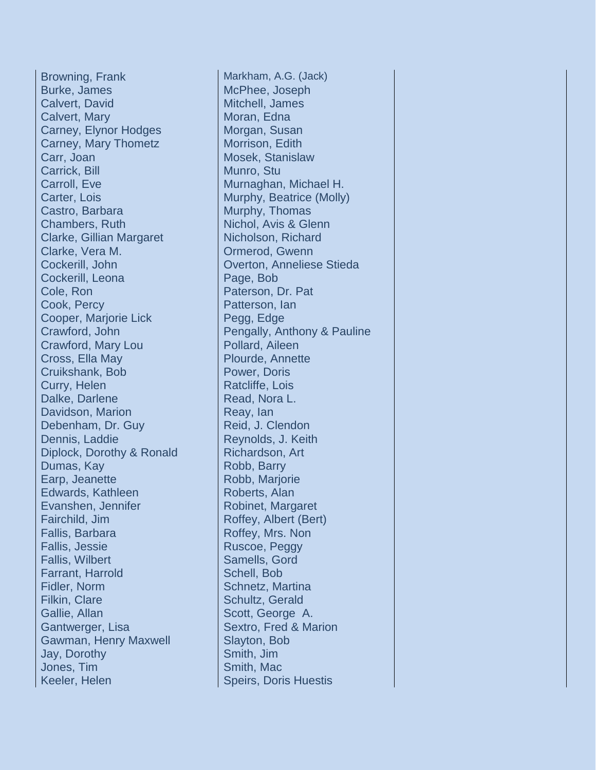Browning, Frank Markham, A.G. (Jack) Burke, James McPhee, Joseph Calvert, David Mitchell, James Calvert, Mary **Moran, Edna** Carney, Elynor Hodges Morgan, Susan Carney, Mary Thometz | Morrison, Edith Carr, Joan Mosek, Stanislaw Carrick, Bill **Carrick**, Bill **Munro**, Stu Carroll, Eve Murnaghan, Michael H. Carter, Lois Murphy, Beatrice (Molly) Castro, Barbara Murphy, Thomas Chambers, Ruth Nichol, Avis & Glenn Clarke, Gillian Margaret | Nicholson, Richard Clarke, Vera M. Clarke, Vera M. Cockerill, John **Cockerill** Overton, Anneliese Stieda Cockerill, Leona Page, Bob Cole, Ron Paterson, Dr. Paterson, Dr. Paterson, Dr. Paterson, Dr. Paterson, Dr. Paterson, Dr. Paterson, Dr. Pat Cook, Percy **Patterson**, Ian Cooper, Marjorie Lick Pegg, Edge Crawford, Mary Lou Pollard, Aileen Cross, Ella May Plourde, Annette Cruikshank, Bob Power, Doris Curry, Helen Ratcliffe, Lois Dalke, Darlene Read, Nora L. Davidson, Marion Reay, Ian Debenham, Dr. Guy Reid, J. Clendon Dennis, Laddie Reynolds, J. Keith Diplock, Dorothy & Ronald Richardson, Art Dumas, Kay Robb, Barry Earp, Jeanette Robb, Mariorie Edwards, Kathleen Roberts, Alan Evanshen, Jennifer Robinet, Margaret Fairchild, Jim Roffey, Albert (Bert) Fallis, Barbara Roffey, Mrs. Non Fallis, Jessie Ruscoe, Peggy Fallis, Wilbert **Samells**, Gord Farrant, Harrold Schell, Bob Fidler, Norm Schnetz, Martina Filkin, Clare Schultz, Gerald Gallie, Allan Scott, George A. Gantwerger, Lisa Sextro, Fred & Marion Gawman, Henry Maxwell **Slayton**, Bob Jay, Dorothy Smith, Jim Jones, Tim Smith, Mac Keeler, Helen Speirs, Doris Huestis

Crawford, John **Pengally, Anthony & Pauline**